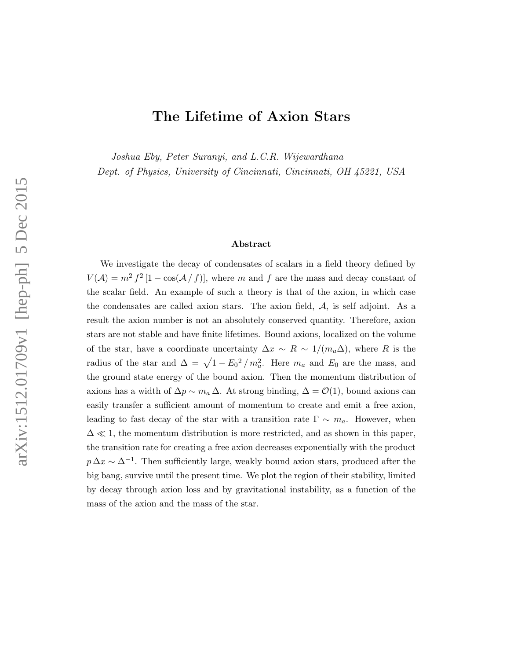# The Lifetime of Axion Stars

Joshua Eby, Peter Suranyi, and L.C.R. Wijewardhana

Dept. of Physics, University of Cincinnati, Cincinnati, OH 45221, USA

#### Abstract

We investigate the decay of condensates of scalars in a field theory defined by  $V(\mathcal{A}) = m^2 f^2 [1 - \cos(\mathcal{A}/f)],$  where m and f are the mass and decay constant of the scalar field. An example of such a theory is that of the axion, in which case the condensates are called axion stars. The axion field,  $A$ , is self adjoint. As a result the axion number is not an absolutely conserved quantity. Therefore, axion stars are not stable and have finite lifetimes. Bound axions, localized on the volume of the star, have a coordinate uncertainty  $\Delta x \sim R \sim 1/(m_a \Delta)$ , where R is the radius of the star and  $\Delta = \sqrt{1 - E_0^2 / m_a^2}$ . Here  $m_a$  and  $E_0$  are the mass, and the ground state energy of the bound axion. Then the momentum distribution of axions has a width of  $\Delta p \sim m_a \Delta$ . At strong binding,  $\Delta = \mathcal{O}(1)$ , bound axions can easily transfer a sufficient amount of momentum to create and emit a free axion, leading to fast decay of the star with a transition rate  $\Gamma \sim m_a$ . However, when  $\Delta \ll 1$ , the momentum distribution is more restricted, and as shown in this paper, the transition rate for creating a free axion decreases exponentially with the product  $p \Delta x \sim \Delta^{-1}$ . Then sufficiently large, weakly bound axion stars, produced after the big bang, survive until the present time. We plot the region of their stability, limited by decay through axion loss and by gravitational instability, as a function of the mass of the axion and the mass of the star.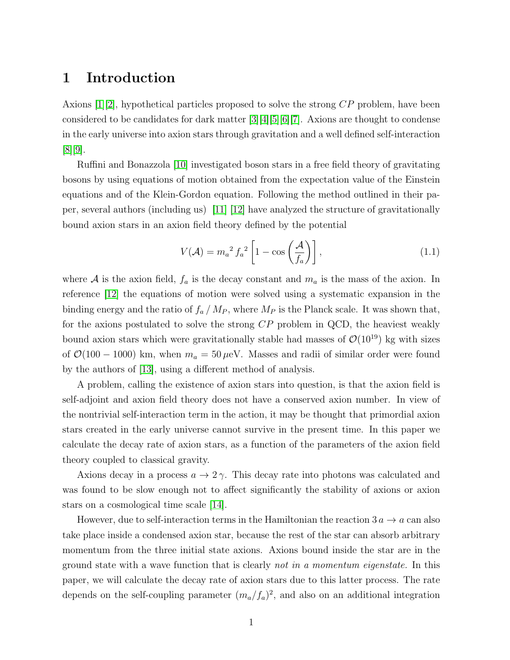#### 1 Introduction

Axions [\[1\]](#page-16-0)[\[2\]](#page-16-1), hypothetical particles proposed to solve the strong  $\mathbb{CP}$  problem, have been considered to be candidates for dark matter [\[3\]](#page-16-2)[\[4\]](#page-16-3)[\[5\]](#page-16-4)[\[6\]](#page-16-5)[\[7\]](#page-16-6). Axions are thought to condense in the early universe into axion stars through gravitation and a well defined self-interaction [\[8\]](#page-16-7)[\[9\]](#page-16-8).

Ruffini and Bonazzola [\[10\]](#page-17-0) investigated boson stars in a free field theory of gravitating bosons by using equations of motion obtained from the expectation value of the Einstein equations and of the Klein-Gordon equation. Following the method outlined in their paper, several authors (including us) [\[11\]](#page-17-1) [\[12\]](#page-17-2) have analyzed the structure of gravitationally bound axion stars in an axion field theory defined by the potential

$$
V(\mathcal{A}) = m_a^2 f_a^2 \left[ 1 - \cos\left(\frac{\mathcal{A}}{f_a}\right) \right],\tag{1.1}
$$

where A is the axion field,  $f_a$  is the decay constant and  $m_a$  is the mass of the axion. In reference [\[12\]](#page-17-2) the equations of motion were solved using a systematic expansion in the binding energy and the ratio of  $f_a / M_P$ , where  $M_P$  is the Planck scale. It was shown that, for the axions postulated to solve the strong CP problem in QCD, the heaviest weakly bound axion stars which were gravitationally stable had masses of  $\mathcal{O}(10^{19})$  kg with sizes of  $\mathcal{O}(100 - 1000)$  km, when  $m_a = 50 \,\mu\text{eV}$ . Masses and radii of similar order were found by the authors of [\[13\]](#page-17-3), using a different method of analysis.

A problem, calling the existence of axion stars into question, is that the axion field is self-adjoint and axion field theory does not have a conserved axion number. In view of the nontrivial self-interaction term in the action, it may be thought that primordial axion stars created in the early universe cannot survive in the present time. In this paper we calculate the decay rate of axion stars, as a function of the parameters of the axion field theory coupled to classical gravity.

Axions decay in a process  $a \to 2\gamma$ . This decay rate into photons was calculated and was found to be slow enough not to affect significantly the stability of axions or axion stars on a cosmological time scale [\[14\]](#page-17-4).

However, due to self-interaction terms in the Hamiltonian the reaction  $3a \rightarrow a$  can also take place inside a condensed axion star, because the rest of the star can absorb arbitrary momentum from the three initial state axions. Axions bound inside the star are in the ground state with a wave function that is clearly not in a momentum eigenstate. In this paper, we will calculate the decay rate of axion stars due to this latter process. The rate depends on the self-coupling parameter  $(m_a/f_a)^2$ , and also on an additional integration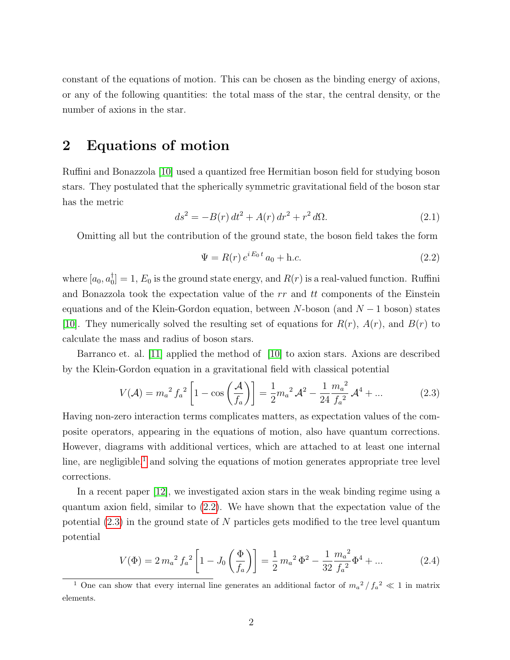constant of the equations of motion. This can be chosen as the binding energy of axions, or any of the following quantities: the total mass of the star, the central density, or the number of axions in the star.

# 2 Equations of motion

Ruffini and Bonazzola [\[10\]](#page-17-0) used a quantized free Hermitian boson field for studying boson stars. They postulated that the spherically symmetric gravitational field of the boson star has the metric

$$
ds^{2} = -B(r) dt^{2} + A(r) dr^{2} + r^{2} d\Omega.
$$
 (2.1)

Omitting all but the contribution of the ground state, the boson field takes the form

<span id="page-2-1"></span>
$$
\Psi = R(r) e^{iE_0 t} a_0 + \text{h.c.}
$$
\n(2.2)

where  $[a_0, a_0^{\dagger}]$  $\mathbb{I}_{0}^{\mathbb{T}}[0] = 1, E_0$  is the ground state energy, and  $R(r)$  is a real-valued function. Ruffini and Bonazzola took the expectation value of the  $rr$  and  $tt$  components of the Einstein equations and of the Klein-Gordon equation, between  $N$ -boson (and  $N-1$  boson) states [\[10\]](#page-17-0). They numerically solved the resulting set of equations for  $R(r)$ ,  $A(r)$ , and  $B(r)$  to calculate the mass and radius of boson stars.

Barranco et. al. [\[11\]](#page-17-1) applied the method of [\[10\]](#page-17-0) to axion stars. Axions are described by the Klein-Gordon equation in a gravitational field with classical potential

<span id="page-2-2"></span>
$$
V(\mathcal{A}) = m_a^2 f_a^2 \left[ 1 - \cos\left(\frac{\mathcal{A}}{f_a}\right) \right] = \frac{1}{2} m_a^2 \mathcal{A}^2 - \frac{1}{24} \frac{m_a^2}{f_a^2} \mathcal{A}^4 + \dots \tag{2.3}
$$

Having non-zero interaction terms complicates matters, as expectation values of the composite operators, appearing in the equations of motion, also have quantum corrections. However, diagrams with additional vertices, which are attached to at least one internal line, are negligible,<sup>[1](#page-2-0)</sup> and solving the equations of motion generates appropriate tree level corrections.

In a recent paper [\[12\]](#page-17-2), we investigated axion stars in the weak binding regime using a quantum axion field, similar to [\(2.2\)](#page-2-1). We have shown that the expectation value of the potential  $(2.3)$  in the ground state of N particles gets modified to the tree level quantum potential

<span id="page-2-3"></span>
$$
V(\Phi) = 2 m_a^2 f_a^2 \left[ 1 - J_0 \left( \frac{\Phi}{f_a} \right) \right] = \frac{1}{2} m_a^2 \Phi^2 - \frac{1}{32} \frac{m_a^2}{f_a^2} \Phi^4 + \dots \tag{2.4}
$$

<span id="page-2-0"></span><sup>&</sup>lt;sup>1</sup> One can show that every internal line generates an additional factor of  $m_a^2/f_a^2 \ll 1$  in matrix elements.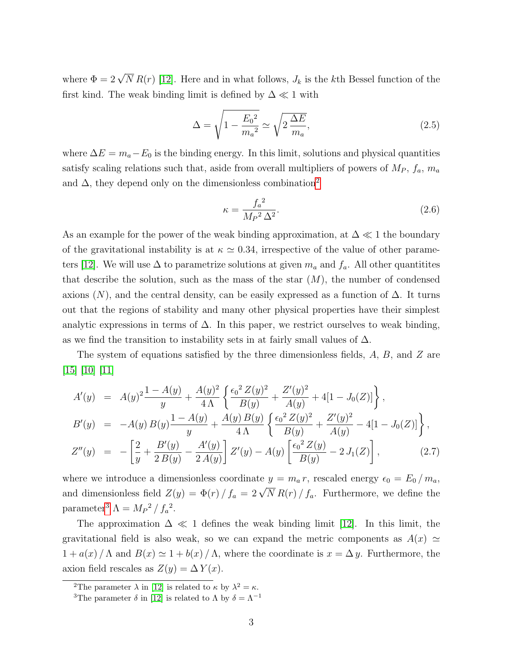where  $\Phi = 2\sqrt{N} R(r)$  [\[12\]](#page-17-2). Here and in what follows,  $J_k$  is the kth Bessel function of the first kind. The weak binding limit is defined by  $\Delta \ll 1$  with

$$
\Delta = \sqrt{1 - \frac{E_0^2}{m_a^2}} \simeq \sqrt{2 \frac{\Delta E}{m_a}},\tag{2.5}
$$

where  $\Delta E = m_a - E_0$  is the binding energy. In this limit, solutions and physical quantities satisfy scaling relations such that, aside from overall multipliers of powers of  $M_P$ ,  $f_a$ ,  $m_a$ and  $\Delta$ , they depend only on the dimensionless combination<sup>[2](#page-3-0)</sup>

$$
\kappa = \frac{f_a^2}{M_P^2 \Delta^2}.
$$
\n(2.6)

As an example for the power of the weak binding approximation, at  $\Delta \ll 1$  the boundary of the gravitational instability is at  $\kappa \simeq 0.34$ , irrespective of the value of other parame-ters [\[12\]](#page-17-2). We will use  $\Delta$  to parametrize solutions at given  $m_a$  and  $f_a$ . All other quantitites that describe the solution, such as the mass of the star  $(M)$ , the number of condensed axions  $(N)$ , and the central density, can be easily expressed as a function of  $\Delta$ . It turns out that the regions of stability and many other physical properties have their simplest analytic expressions in terms of  $\Delta$ . In this paper, we restrict ourselves to weak binding, as we find the transition to instability sets in at fairly small values of  $\Delta$ .

The system of equations satisfied by the three dimensionless fields, A, B, and Z are [\[15\]](#page-17-5) [\[10\]](#page-17-0) [\[11\]](#page-17-1)

<span id="page-3-2"></span>
$$
A'(y) = A(y)^2 \frac{1 - A(y)}{y} + \frac{A(y)^2}{4\Lambda} \left\{ \frac{\epsilon_0^2 Z(y)^2}{B(y)} + \frac{Z'(y)^2}{A(y)} + 4[1 - J_0(Z)] \right\},
$$
  
\n
$$
B'(y) = -A(y) B(y) \frac{1 - A(y)}{y} + \frac{A(y) B(y)}{4\Lambda} \left\{ \frac{\epsilon_0^2 Z(y)^2}{B(y)} + \frac{Z'(y)^2}{A(y)} - 4[1 - J_0(Z)] \right\},
$$
  
\n
$$
Z''(y) = -\left[ \frac{2}{y} + \frac{B'(y)}{2B(y)} - \frac{A'(y)}{2A(y)} \right] Z'(y) - A(y) \left[ \frac{\epsilon_0^2 Z(y)}{B(y)} - 2J_1(Z) \right],
$$
 (2.7)

where we introduce a dimensionless coordinate  $y = m_a r$ , rescaled energy  $\epsilon_0 = E_0 / m_a$ , and dimensionless field  $Z(y) = \Phi(r)/f_a = 2\sqrt{N} R(r)/f_a$ . Furthermore, we define the parameter<sup>[3](#page-3-1)</sup>  $\Lambda = M_P^2 / f_a^2$ .

The approximation  $\Delta \ll 1$  defines the weak binding limit [\[12\]](#page-17-2). In this limit, the gravitational field is also weak, so we can expand the metric components as  $A(x) \simeq$  $1 + a(x) / \Lambda$  and  $B(x) \simeq 1 + b(x) / \Lambda$ , where the coordinate is  $x = \Delta y$ . Furthermore, the axion field rescales as  $Z(y) = \Delta Y(x)$ .

<span id="page-3-1"></span><span id="page-3-0"></span><sup>&</sup>lt;sup>2</sup>The parameter  $\lambda$  in [\[12\]](#page-17-2) is related to  $\kappa$  by  $\lambda^2 = \kappa$ .

<sup>&</sup>lt;sup>3</sup>The parameter  $\delta$  in [\[12\]](#page-17-2) is related to  $\Lambda$  by  $\delta = \Lambda^{-1}$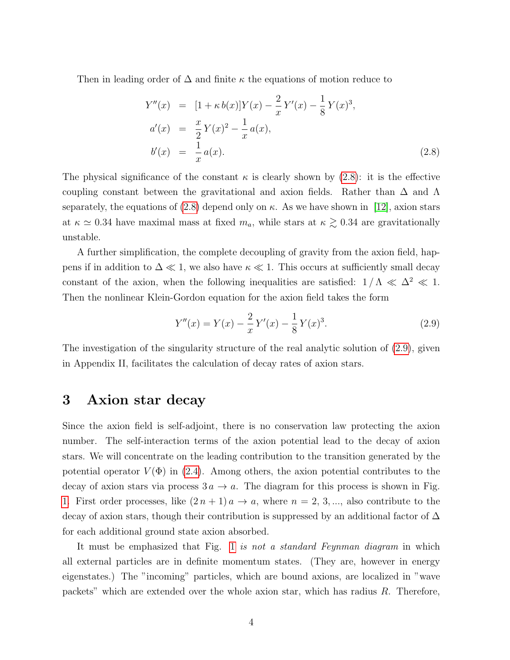Then in leading order of  $\Delta$  and finite  $\kappa$  the equations of motion reduce to

<span id="page-4-0"></span>
$$
Y''(x) = [1 + \kappa b(x)]Y(x) - \frac{2}{x}Y'(x) - \frac{1}{8}Y(x)^3,
$$
  
\n
$$
a'(x) = \frac{x}{2}Y(x)^2 - \frac{1}{x}a(x),
$$
  
\n
$$
b'(x) = \frac{1}{x}a(x).
$$
\n(2.8)

The physical significance of the constant  $\kappa$  is clearly shown by [\(2.8\)](#page-4-0): it is the effective coupling constant between the gravitational and axion fields. Rather than  $\Delta$  and  $\Lambda$ separately, the equations of [\(2.8\)](#page-4-0) depend only on  $\kappa$ . As we have shown in [\[12\]](#page-17-2), axion stars at  $\kappa \simeq 0.34$  have maximal mass at fixed  $m_a$ , while stars at  $\kappa \gtrsim 0.34$  are gravitationally unstable.

A further simplification, the complete decoupling of gravity from the axion field, happens if in addition to  $\Delta \ll 1$ , we also have  $\kappa \ll 1$ . This occurs at sufficiently small decay constant of the axion, when the following inequalities are satisfied:  $1/\Lambda \ll \Delta^2 \ll 1$ . Then the nonlinear Klein-Gordon equation for the axion field takes the form

<span id="page-4-1"></span>
$$
Y''(x) = Y(x) - \frac{2}{x}Y'(x) - \frac{1}{8}Y(x)^3.
$$
 (2.9)

The investigation of the singularity structure of the real analytic solution of [\(2.9\)](#page-4-1), given in Appendix II, facilitates the calculation of decay rates of axion stars.

### 3 Axion star decay

Since the axion field is self-adjoint, there is no conservation law protecting the axion number. The self-interaction terms of the axion potential lead to the decay of axion stars. We will concentrate on the leading contribution to the transition generated by the potential operator  $V(\Phi)$  in [\(2.4\)](#page-2-3). Among others, the axion potential contributes to the decay of axion stars via process  $3a \rightarrow a$ . The diagram for this process is shown in Fig. [1.](#page-5-0) First order processes, like  $(2n + 1)a \rightarrow a$ , where  $n = 2, 3, \dots$ , also contribute to the decay of axion stars, though their contribution is suppressed by an additional factor of  $\Delta$ for each additional ground state axion absorbed.

It must be emphasized that Fig. [1](#page-5-0) is not a standard Feynman diagram in which all external particles are in definite momentum states. (They are, however in energy eigenstates.) The "incoming" particles, which are bound axions, are localized in "wave packets" which are extended over the whole axion star, which has radius  $R$ . Therefore,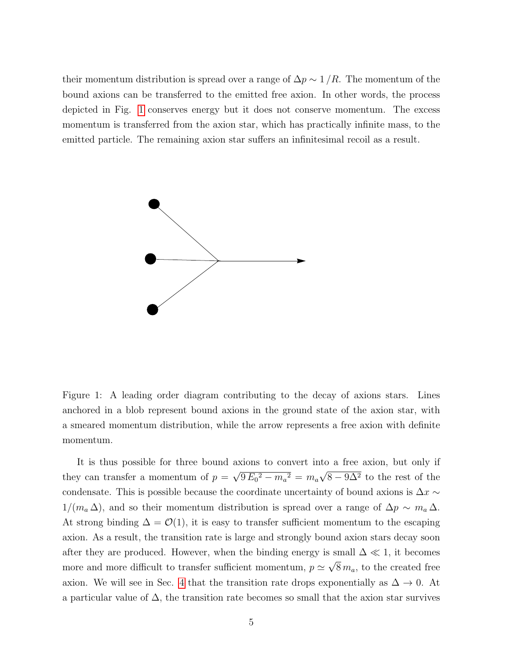their momentum distribution is spread over a range of  $\Delta p \sim 1/R$ . The momentum of the bound axions can be transferred to the emitted free axion. In other words, the process depicted in Fig. [1](#page-5-0) conserves energy but it does not conserve momentum. The excess momentum is transferred from the axion star, which has practically infinite mass, to the emitted particle. The remaining axion star suffers an infinitesimal recoil as a result.



<span id="page-5-0"></span>Figure 1: A leading order diagram contributing to the decay of axions stars. Lines anchored in a blob represent bound axions in the ground state of the axion star, with a smeared momentum distribution, while the arrow represents a free axion with definite momentum.

It is thus possible for three bound axions to convert into a free axion, but only if they can transfer a momentum of  $p =$ √  $9 E_0^2 - m_a^2 = m_a$ √  $8-9\Delta^2$  to the rest of the condensate. This is possible because the coordinate uncertainty of bound axions is  $\Delta x \sim$  $1/(m_a \Delta)$ , and so their momentum distribution is spread over a range of  $\Delta p \sim m_a \Delta$ . At strong binding  $\Delta = \mathcal{O}(1)$ , it is easy to transfer sufficient momentum to the escaping axion. As a result, the transition rate is large and strongly bound axion stars decay soon after they are produced. However, when the binding energy is small  $\Delta \ll 1$ , it becomes more and more difficult to transfer sufficient momentum,  $p \simeq$ √  $8 m_a$ , to the created free axion. We will see in Sec. [4](#page-8-0) that the transition rate drops exponentially as  $\Delta \to 0$ . At a particular value of  $\Delta$ , the transition rate becomes so small that the axion star survives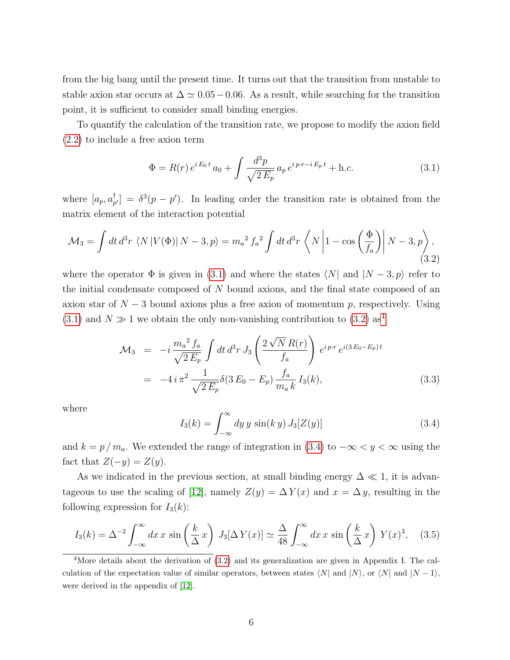from the big bang until the present time. It turns out that the transition from unstable to stable axion star occurs at  $\Delta \simeq 0.05-0.06$ . As a result, while searching for the transition point, it is sufficient to consider small binding energies.

To quantify the calculation of the transition rate, we propose to modify the axion field [\(2.2\)](#page-2-1) to include a free axion term

<span id="page-6-0"></span>
$$
\Phi = R(r) e^{iE_0 t} a_0 + \int \frac{d^3 p}{\sqrt{2 E_p}} a_p e^{i p \cdot r - i E_p t} + \text{h.c.}
$$
\n(3.1)

where  $[a_p, a_p^{\dagger}]$  $p_{p'}^{\dagger}$  =  $\delta^3(p-p')$ . In leading order the transition rate is obtained from the matrix element of the interaction potential

<span id="page-6-1"></span>
$$
\mathcal{M}_3 = \int dt \, d^3r \, \langle N \left| V(\Phi) \right| N - 3, p \rangle = m_a^2 f_a^2 \int dt \, d^3r \, \langle N \left| 1 - \cos \left( \frac{\Phi}{f_a} \right) \right| N - 3, p \rangle, \tag{3.2}
$$

where the operator  $\Phi$  is given in [\(3.1\)](#page-6-0) and where the states  $\langle N|$  and  $|N - 3, p \rangle$  refer to the initial condensate composed of  $N$  bound axions, and the final state composed of an axion star of  $N-3$  bound axions plus a free axion of momentum p, respectively. Using  $(3.1)$  and  $N \gg 1$  we obtain the only non-vanishing contribution to  $(3.2)$  as<sup>[4](#page-6-2)</sup>

<span id="page-6-5"></span>
$$
\mathcal{M}_3 = -i \frac{m_a^2 f_a}{\sqrt{2 E_p}} \int dt \, d^3 r \, J_3 \left( \frac{2 \sqrt{N} R(r)}{f_a} \right) e^{i p \cdot r} e^{i (3 E_0 - E_p) t}
$$
  
= 
$$
-4 i \pi^2 \frac{1}{\sqrt{2 E_p}} \delta(3 E_0 - E_p) \frac{f_a}{m_a k} I_3(k), \qquad (3.3)
$$

where

<span id="page-6-3"></span>
$$
I_3(k) = \int_{-\infty}^{\infty} dy \, y \, \sin(k \, y) \, J_3[Z(y)] \tag{3.4}
$$

and  $k = p/m_a$ . We extended the range of integration in [\(3.4\)](#page-6-3) to  $-\infty < y < \infty$  using the fact that  $Z(-y) = Z(y)$ .

As we indicated in the previous section, at small binding energy  $\Delta \ll 1$ , it is advan-tageous to use the scaling of [\[12\]](#page-17-2), namely  $Z(y) = \Delta Y(x)$  and  $x = \Delta y$ , resulting in the following expression for  $I_3(k)$ :

<span id="page-6-4"></span>
$$
I_3(k) = \Delta^{-2} \int_{-\infty}^{\infty} dx \, x \, \sin\left(\frac{k}{\Delta}x\right) \, J_3[\Delta Y(x)] \simeq \frac{\Delta}{48} \int_{-\infty}^{\infty} dx \, x \, \sin\left(\frac{k}{\Delta}x\right) \, Y(x)^3, \quad (3.5)
$$

<span id="page-6-2"></span><sup>&</sup>lt;sup>4</sup>More details about the derivation of  $(3.2)$  and its generalization are given in Appendix I. The calculation of the expectation value of similar operators, between states  $\langle N|$  and  $|N\rangle$ , or  $\langle N|$  and  $|N - 1\rangle$ , were derived in the appendix of [\[12\]](#page-17-2).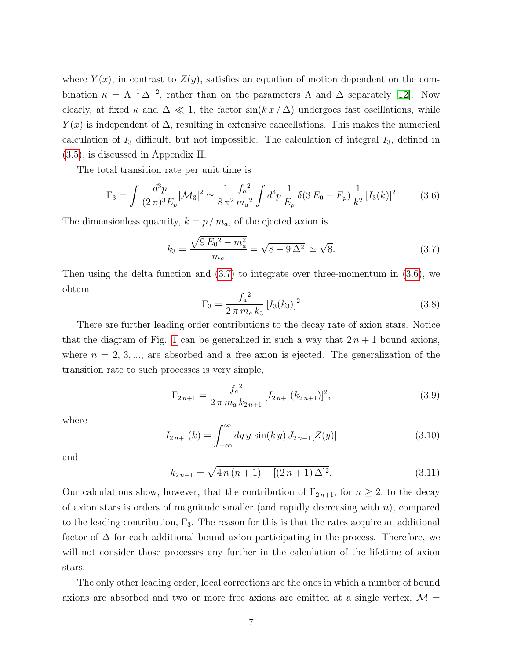where  $Y(x)$ , in contrast to  $Z(y)$ , satisfies an equation of motion dependent on the combination  $\kappa = \Lambda^{-1} \Delta^{-2}$ , rather than on the parameters  $\Lambda$  and  $\Delta$  separately [\[12\]](#page-17-2). Now clearly, at fixed  $\kappa$  and  $\Delta \ll 1$ , the factor sin( $k x / \Delta$ ) undergoes fast oscillations, while  $Y(x)$  is independent of  $\Delta$ , resulting in extensive cancellations. This makes the numerical calculation of  $I_3$  difficult, but not impossible. The calculation of integral  $I_3$ , defined in [\(3.5\)](#page-6-4), is discussed in Appendix II.

The total transition rate per unit time is

<span id="page-7-1"></span>
$$
\Gamma_3 = \int \frac{d^3 p}{(2\pi)^3 E_p} |\mathcal{M}_3|^2 \simeq \frac{1}{8\pi^2} \frac{f_a^2}{m_a^2} \int d^3 p \frac{1}{E_p} \delta(3E_0 - E_p) \frac{1}{k^2} [I_3(k)]^2 \tag{3.6}
$$

The dimensionless quantity,  $k = p / m_a$ , of the ejected axion is

<span id="page-7-0"></span>
$$
k_3 = \frac{\sqrt{9 E_0^2 - m_a^2}}{m_a} = \sqrt{8 - 9 \Delta^2} \simeq \sqrt{8}.
$$
 (3.7)

Then using the delta function and [\(3.7\)](#page-7-0) to integrate over three-momentum in [\(3.6\)](#page-7-1), we obtain

<span id="page-7-3"></span>
$$
\Gamma_3 = \frac{f_a^2}{2 \pi m_a k_3} [I_3(k_3)]^2
$$
\n(3.8)

There are further leading order contributions to the decay rate of axion stars. Notice that the diagram of Fig. [1](#page-5-0) can be generalized in such a way that  $2n + 1$  bound axions, where  $n = 2, 3, \dots$ , are absorbed and a free axion is ejected. The generalization of the transition rate to such processes is very simple,

$$
\Gamma_{2n+1} = \frac{f_a^2}{2 \pi m_a k_{2n+1}} [I_{2n+1}(k_{2n+1})]^2,
$$
\n(3.9)

where

<span id="page-7-2"></span>
$$
I_{2n+1}(k) = \int_{-\infty}^{\infty} dy \, y \, \sin(k \, y) \, J_{2n+1}[Z(y)] \tag{3.10}
$$

and

$$
k_{2n+1} = \sqrt{4n(n+1) - [(2n+1)\Delta]^2}.
$$
\n(3.11)

Our calculations show, however, that the contribution of  $\Gamma_{2n+1}$ , for  $n \geq 2$ , to the decay of axion stars is orders of magnitude smaller (and rapidly decreasing with  $n$ ), compared to the leading contribution,  $\Gamma_3$ . The reason for this is that the rates acquire an additional factor of  $\Delta$  for each additional bound axion participating in the process. Therefore, we will not consider those processes any further in the calculation of the lifetime of axion stars.

The only other leading order, local corrections are the ones in which a number of bound axions are absorbed and two or more free axions are emitted at a single vertex,  $\mathcal{M} =$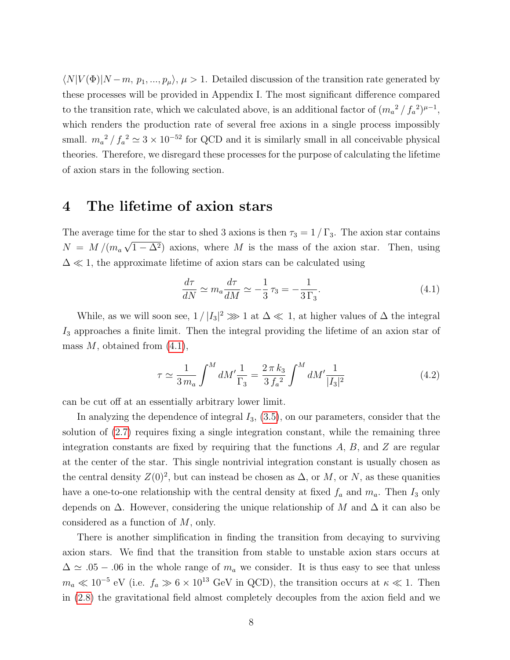$\langle N|V(\Phi)|N-m, p_1, ..., p_\mu\rangle, \mu > 1.$  Detailed discussion of the transition rate generated by these processes will be provided in Appendix I. The most significant difference compared to the transition rate, which we calculated above, is an additional factor of  $(m_a^2 / f_a^2)^{\mu - 1}$ , which renders the production rate of several free axions in a single process impossibly small.  $m_a^2 / f_a^2 \simeq 3 \times 10^{-52}$  for QCD and it is similarly small in all conceivable physical theories. Therefore, we disregard these processes for the purpose of calculating the lifetime of axion stars in the following section.

#### <span id="page-8-0"></span>4 The lifetime of axion stars

The average time for the star to shed 3 axions is then  $\tau_3 = 1 / \Gamma_3$ . The axion star contains  $N = M/(m_a \sqrt{1-\Delta^2})$  axions, where M is the mass of the axion star. Then, using  $\Delta \ll 1$ , the approximate lifetime of axion stars can be calculated using

<span id="page-8-1"></span>
$$
\frac{d\tau}{dN} \simeq m_a \frac{d\tau}{dM} \simeq -\frac{1}{3}\tau_3 = -\frac{1}{3\,\Gamma_3}.\tag{4.1}
$$

While, as we will soon see,  $1/|I_3|^2 \gg 1$  at  $\Delta \ll 1$ , at higher values of  $\Delta$  the integral  $I_3$  approaches a finite limit. Then the integral providing the lifetime of an axion star of mass  $M$ , obtained from  $(4.1)$ ,

<span id="page-8-2"></span>
$$
\tau \simeq \frac{1}{3\,m_a} \int^M dM' \frac{1}{\Gamma_3} = \frac{2\,\pi\,k_3}{3\,f_a^2} \int^M dM' \frac{1}{|I_3|^2} \tag{4.2}
$$

can be cut off at an essentially arbitrary lower limit.

In analyzing the dependence of integral  $I_3$ ,  $(3.5)$ , on our parameters, consider that the solution of [\(2.7\)](#page-3-2) requires fixing a single integration constant, while the remaining three integration constants are fixed by requiring that the functions  $A, B$ , and  $Z$  are regular at the center of the star. This single nontrivial integration constant is usually chosen as the central density  $Z(0)^2$ , but can instead be chosen as  $\Delta$ , or M, or N, as these quanities have a one-to-one relationship with the central density at fixed  $f_a$  and  $m_a$ . Then  $I_3$  only depends on  $\Delta$ . However, considering the unique relationship of M and  $\Delta$  it can also be considered as a function of M, only.

There is another simplification in finding the transition from decaying to surviving axion stars. We find that the transition from stable to unstable axion stars occurs at  $\Delta \simeq .05 - .06$  in the whole range of  $m_a$  we consider. It is thus easy to see that unless  $m_a \ll 10^{-5}$  eV (i.e.  $f_a \gg 6 \times 10^{13}$  GeV in QCD), the transition occurs at  $\kappa \ll 1$ . Then in [\(2.8\)](#page-4-0) the gravitational field almost completely decouples from the axion field and we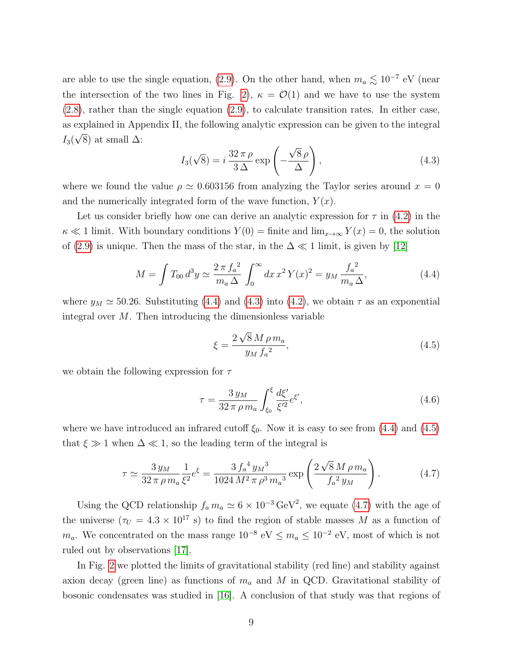are able to use the single equation, [\(2.9\)](#page-4-1). On the other hand, when  $m_a \lesssim 10^{-7}$  eV (near the intersection of the two lines in Fig. [2\)](#page-10-0),  $\kappa = \mathcal{O}(1)$  and we have to use the system [\(2.8\)](#page-4-0), rather than the single equation [\(2.9\)](#page-4-1), to calculate transition rates. In either case, as explained in Appendix II, the following analytic expression can be given to the integral  $I_3(\sqrt{8})$  at small  $\Delta$ : √ √

<span id="page-9-1"></span>
$$
I_3(\sqrt{8}) = i\frac{32\,\pi\,\rho}{3\,\Delta} \exp\left(-\frac{\sqrt{8}\,\rho}{\Delta}\right),\tag{4.3}
$$

where we found the value  $\rho \simeq 0.603156$  from analyzing the Taylor series around  $x = 0$ and the numerically integrated form of the wave function,  $Y(x)$ .

Let us consider briefly how one can derive an analytic expression for  $\tau$  in [\(4.2\)](#page-8-2) in the  $\kappa \ll 1$  limit. With boundary conditions  $Y(0) = \text{finite}$  and  $\lim_{x\to\infty} Y(x) = 0$ , the solution of [\(2.9\)](#page-4-1) is unique. Then the mass of the star, in the  $\Delta \ll 1$  limit, is given by [\[12\]](#page-17-2)

<span id="page-9-0"></span>
$$
M = \int T_{00} d^3 y \simeq \frac{2 \pi f_a^2}{m_a \Delta} \int_0^\infty dx \, x^2 \, Y(x)^2 = y_M \frac{f_a^2}{m_a \Delta},\tag{4.4}
$$

where  $y_M \approx 50.26$ . Substituting [\(4.4\)](#page-9-0) and [\(4.3\)](#page-9-1) into [\(4.2\)](#page-8-2), we obtain  $\tau$  as an exponential integral over  $M$ . Then introducing the dimensionless variable

<span id="page-9-2"></span>
$$
\xi = \frac{2\sqrt{8}M\rho m_a}{y_M f_a^2},\tag{4.5}
$$

we obtain the following expression for  $\tau$ 

$$
\tau = \frac{3 y_M}{32 \pi \rho m_a} \int_{\xi_0}^{\xi} \frac{d\xi'}{\xi'^2} e^{\xi'},\tag{4.6}
$$

where we have introduced an infrared cutoff  $\xi_0$ . Now it is easy to see from [\(4.4\)](#page-9-0) and [\(4.5\)](#page-9-2) that  $\xi \gg 1$  when  $\Delta \ll 1$ , so the leading term of the integral is

<span id="page-9-3"></span>
$$
\tau \simeq \frac{3 y_M}{32 \pi \rho m_a} \frac{1}{\xi^2} e^{\xi} = \frac{3 f_a^4 y_M^3}{1024 M^2 \pi \rho^3 m_a^3} \exp\left(\frac{2 \sqrt{8} M \rho m_a}{f_a^2 y_M}\right). \tag{4.7}
$$

Using the QCD relationship  $f_a m_a \simeq 6 \times 10^{-3} \text{ GeV}^2$ , we equate [\(4.7\)](#page-9-3) with the age of the universe  $(\tau_U = 4.3 \times 10^{17} \text{ s})$  to find the region of stable masses M as a function of  $m_a$ . We concentrated on the mass range  $10^{-8}$  eV ≤  $m_a \le 10^{-2}$  eV, most of which is not ruled out by observations [\[17\]](#page-17-6).

In Fig. [2](#page-10-0) we plotted the limits of gravitational stability (red line) and stability against axion decay (green line) as functions of  $m_a$  and M in QCD. Gravitational stability of bosonic condensates was studied in [\[16\]](#page-17-7). A conclusion of that study was that regions of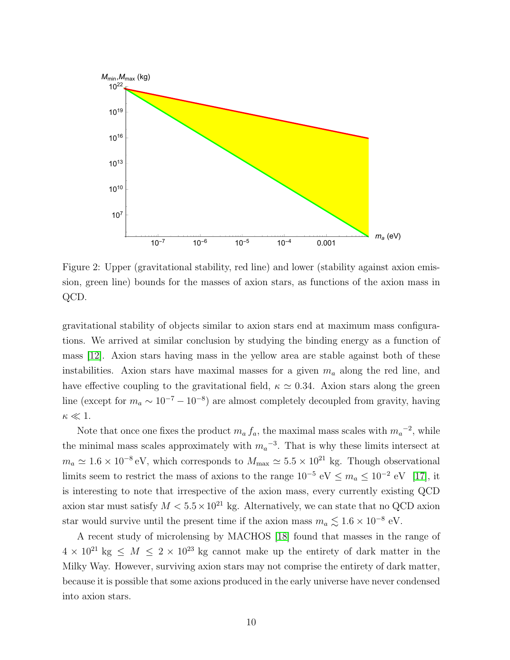

<span id="page-10-0"></span>Figure 2: Upper (gravitational stability, red line) and lower (stability against axion emission, green line) bounds for the masses of axion stars, as functions of the axion mass in QCD.

gravitational stability of objects similar to axion stars end at maximum mass configurations. We arrived at similar conclusion by studying the binding energy as a function of mass [\[12\]](#page-17-2). Axion stars having mass in the yellow area are stable against both of these instabilities. Axion stars have maximal masses for a given  $m_a$  along the red line, and have effective coupling to the gravitational field,  $\kappa \simeq 0.34$ . Axion stars along the green line (except for  $m_a \sim 10^{-7} - 10^{-8}$ ) are almost completely decoupled from gravity, having  $\kappa \ll 1$ .

Note that once one fixes the product  $m_a f_a$ , the maximal mass scales with  $m_a^{-2}$ , while the minimal mass scales approximately with  $m_a^{-3}$ . That is why these limits intersect at  $m_a \simeq 1.6 \times 10^{-8} \text{ eV}$ , which corresponds to  $M_{\text{max}} \simeq 5.5 \times 10^{21} \text{ kg}$ . Though observational limits seem to restrict the mass of axions to the range  $10^{-5}$  eV  $\leq m_a \leq 10^{-2}$  eV [\[17\]](#page-17-6), it is interesting to note that irrespective of the axion mass, every currently existing QCD axion star must satisfy  $M < 5.5 \times 10^{21}$  kg. Alternatively, we can state that no QCD axion star would survive until the present time if the axion mass  $m_a \lesssim 1.6 \times 10^{-8}$  eV.

A recent study of microlensing by MACHOS [\[18\]](#page-17-8) found that masses in the range of  $4 \times 10^{21}$  kg  $\leq M \leq 2 \times 10^{23}$  kg cannot make up the entirety of dark matter in the Milky Way. However, surviving axion stars may not comprise the entirety of dark matter, because it is possible that some axions produced in the early universe have never condensed into axion stars.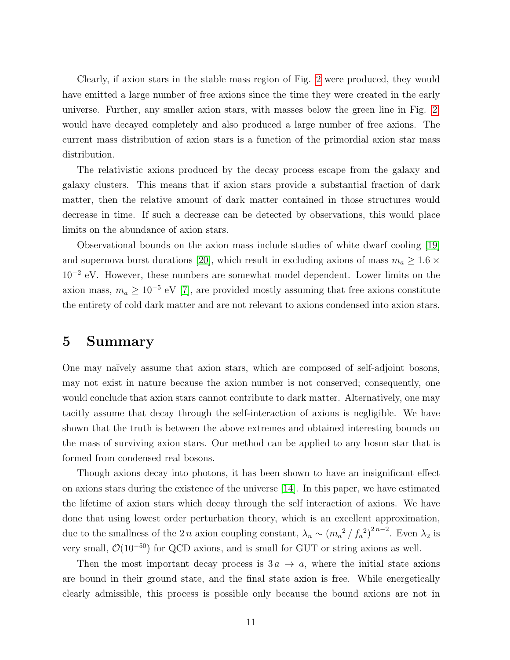Clearly, if axion stars in the stable mass region of Fig. [2](#page-10-0) were produced, they would have emitted a large number of free axions since the time they were created in the early universe. Further, any smaller axion stars, with masses below the green line in Fig. [2,](#page-10-0) would have decayed completely and also produced a large number of free axions. The current mass distribution of axion stars is a function of the primordial axion star mass distribution.

The relativistic axions produced by the decay process escape from the galaxy and galaxy clusters. This means that if axion stars provide a substantial fraction of dark matter, then the relative amount of dark matter contained in those structures would decrease in time. If such a decrease can be detected by observations, this would place limits on the abundance of axion stars.

Observational bounds on the axion mass include studies of white dwarf cooling [\[19\]](#page-17-9) and supernova burst durations [\[20\]](#page-17-10), which result in excluding axions of mass  $m_a \ge 1.6 \times$ 10<sup>−</sup><sup>2</sup> eV. However, these numbers are somewhat model dependent. Lower limits on the axion mass,  $m_a \geq 10^{-5}$  eV [\[7\]](#page-16-6), are provided mostly assuming that free axions constitute the entirety of cold dark matter and are not relevant to axions condensed into axion stars.

### 5 Summary

One may na¨ıvely assume that axion stars, which are composed of self-adjoint bosons, may not exist in nature because the axion number is not conserved; consequently, one would conclude that axion stars cannot contribute to dark matter. Alternatively, one may tacitly assume that decay through the self-interaction of axions is negligible. We have shown that the truth is between the above extremes and obtained interesting bounds on the mass of surviving axion stars. Our method can be applied to any boson star that is formed from condensed real bosons.

Though axions decay into photons, it has been shown to have an insignificant effect on axions stars during the existence of the universe [\[14\]](#page-17-4). In this paper, we have estimated the lifetime of axion stars which decay through the self interaction of axions. We have done that using lowest order perturbation theory, which is an excellent approximation, due to the smallness of the 2 n axion coupling constant,  $\lambda_n \sim (m_a^2 / f_a^2)^{2n-2}$ . Even  $\lambda_2$  is very small,  $\mathcal{O}(10^{-50})$  for QCD axions, and is small for GUT or string axions as well.

Then the most important decay process is  $3a \rightarrow a$ , where the initial state axions are bound in their ground state, and the final state axion is free. While energetically clearly admissible, this process is possible only because the bound axions are not in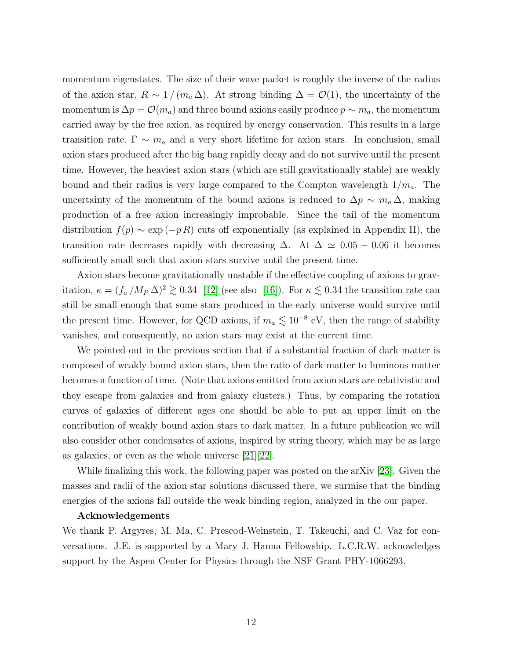momentum eigenstates. The size of their wave packet is roughly the inverse of the radius of the axion star,  $R \sim 1/(m_a \Delta)$ . At strong binding  $\Delta = \mathcal{O}(1)$ , the uncertainty of the momentum is  $\Delta p = \mathcal{O}(m_a)$  and three bound axions easily produce  $p \sim m_a$ , the momentum carried away by the free axion, as required by energy conservation. This results in a large transition rate,  $\Gamma \sim m_a$  and a very short lifetime for axion stars. In conclusion, small axion stars produced after the big bang rapidly decay and do not survive until the present time. However, the heaviest axion stars (which are still gravitationally stable) are weakly bound and their radius is very large compared to the Compton wavelength  $1/m_a$ . The uncertainty of the momentum of the bound axions is reduced to  $\Delta p \sim m_a \Delta$ , making production of a free axion increasingly improbable. Since the tail of the momentum distribution  $f(p) \sim \exp(-pR)$  cuts off exponentially (as explained in Appendix II), the transition rate decreases rapidly with decreasing  $\Delta$ . At  $\Delta \simeq 0.05 - 0.06$  it becomes sufficiently small such that axion stars survive until the present time.

Axion stars become gravitationally unstable if the effective coupling of axions to gravitation,  $\kappa = (f_a/M_P \Delta)^2 \gtrsim 0.34$  [\[12\]](#page-17-2) (see also [\[16\]](#page-17-7)). For  $\kappa \lesssim 0.34$  the transition rate can still be small enough that some stars produced in the early universe would survive until the present time. However, for QCD axions, if  $m_a \lesssim 10^{-8}$  eV, then the range of stability vanishes, and consequently, no axion stars may exist at the current time.

We pointed out in the previous section that if a substantial fraction of dark matter is composed of weakly bound axion stars, then the ratio of dark matter to luminous matter becomes a function of time. (Note that axions emitted from axion stars are relativistic and they escape from galaxies and from galaxy clusters.) Thus, by comparing the rotation curves of galaxies of different ages one should be able to put an upper limit on the contribution of weakly bound axion stars to dark matter. In a future publication we will also consider other condensates of axions, inspired by string theory, which may be as large as galaxies, or even as the whole universe [\[21\]](#page-17-11)[\[22\]](#page-18-0).

While finalizing this work, the following paper was posted on the arXiv [\[23\]](#page-18-1). Given the masses and radii of the axion star solutions discussed there, we surmise that the binding energies of the axions fall outside the weak binding region, analyzed in the our paper.

#### Acknowledgements

We thank P. Argyres, M. Ma, C. Prescod-Weinstein, T. Takeuchi, and C. Vaz for conversations. J.E. is supported by a Mary J. Hanna Fellowship. L.C.R.W. acknowledges support by the Aspen Center for Physics through the NSF Grant PHY-1066293.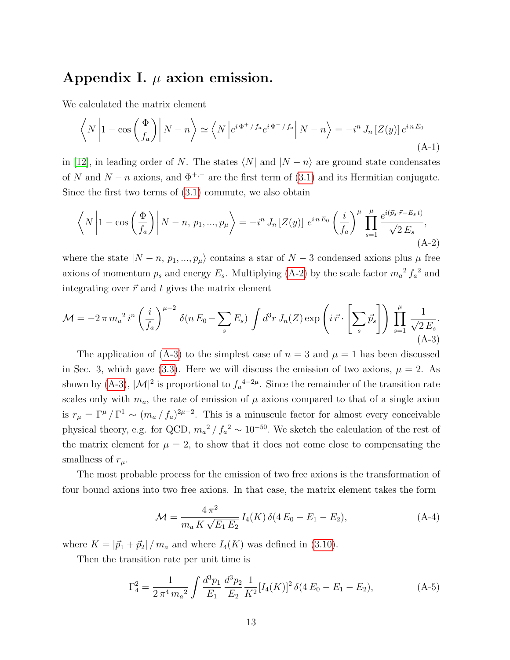# Appendix I.  $\mu$  axion emission.

We calculated the matrix element

$$
\left\langle N \left| 1 - \cos\left(\frac{\Phi}{f_a}\right) \right| N - n \right\rangle \simeq \left\langle N \left| e^{i\Phi^+ / f_a} e^{i\Phi^- / f_a} \right| N - n \right\rangle = -i^n J_n \left[ Z(y) \right] e^{i n E_0}
$$
\n(A-1)

in [\[12\]](#page-17-2), in leading order of N. The states  $\langle N|$  and  $|N - n\rangle$  are ground state condensates of N and  $N - n$  axions, and  $\Phi^{+,-}$  are the first term of [\(3.1\)](#page-6-0) and its Hermitian conjugate. Since the first two terms of [\(3.1\)](#page-6-0) commute, we also obtain

<span id="page-13-0"></span>
$$
\left\langle N\left|1-\cos\left(\frac{\Phi}{f_a}\right)\right|N-n, p_1, ..., p_\mu\right\rangle = -i^n J_n\left[Z(y)\right] e^{i n E_0} \left(\frac{i}{f_a}\right)^\mu \prod_{s=1}^\mu \frac{e^{i(\vec{p}_s \cdot \vec{r}-E_s t)}}{\sqrt{2 E_s}},\tag{A-2}
$$

where the state  $|N - n, p_1, ..., p_\mu\rangle$  contains a star of  $N - 3$  condensed axions plus  $\mu$  free axions of momentum  $p_s$  and energy  $E_s$ . Multiplying [\(A-2\)](#page-13-0) by the scale factor  $m_a^2 f_a^2$  and integrating over  $\vec{r}$  and t gives the matrix element

<span id="page-13-1"></span>
$$
\mathcal{M} = -2\pi m_a^2 i^n \left(\frac{i}{f_a}\right)^{\mu-2} \delta(n E_0 - \sum_s E_s) \int d^3r J_n(Z) \exp\left(i \vec{r} \cdot \left[\sum_s \vec{p}_s\right]\right) \prod_{s=1}^{\mu} \frac{1}{\sqrt{2 E_s}}.
$$
\n(A-3)

The application of  $(A-3)$  to the simplest case of  $n = 3$  and  $\mu = 1$  has been discussed in Sec. 3, which gave [\(3.3\)](#page-6-5). Here we will discuss the emission of two axions,  $\mu = 2$ . As shown by [\(A-3\)](#page-13-1),  $|\mathcal{M}|^2$  is proportional to  $f_a^{4-2\mu}$ . Since the remainder of the transition rate scales only with  $m_a$ , the rate of emission of  $\mu$  axions compared to that of a single axion is  $r_{\mu} = \Gamma^{\mu}/\Gamma^{1} \sim (m_{a}/f_{a})^{2\mu-2}$ . This is a minuscule factor for almost every conceivable physical theory, e.g. for QCD,  $m_a^2 / f_a^2 \sim 10^{-50}$ . We sketch the calculation of the rest of the matrix element for  $\mu = 2$ , to show that it does not come close to compensating the smallness of  $r_\mu$ .

The most probable process for the emission of two free axions is the transformation of four bound axions into two free axions. In that case, the matrix element takes the form

$$
\mathcal{M} = \frac{4\,\pi^2}{m_a\,K\,\sqrt{E_1\,E_2}}\,I_4(K)\,\delta(4\,E_0 - E_1 - E_2),\tag{A-4}
$$

where  $K = |\vec{p}_1 + \vec{p}_2| / m_a$  and where  $I_4(K)$  was defined in [\(3.10\)](#page-7-2).

Then the transition rate per unit time is

$$
\Gamma_4^2 = \frac{1}{2\pi^4 m_a^2} \int \frac{d^3 p_1}{E_1} \frac{d^3 p_2}{E_2} \frac{1}{K^2} [I_4(K)]^2 \delta(4E_0 - E_1 - E_2), \tag{A-5}
$$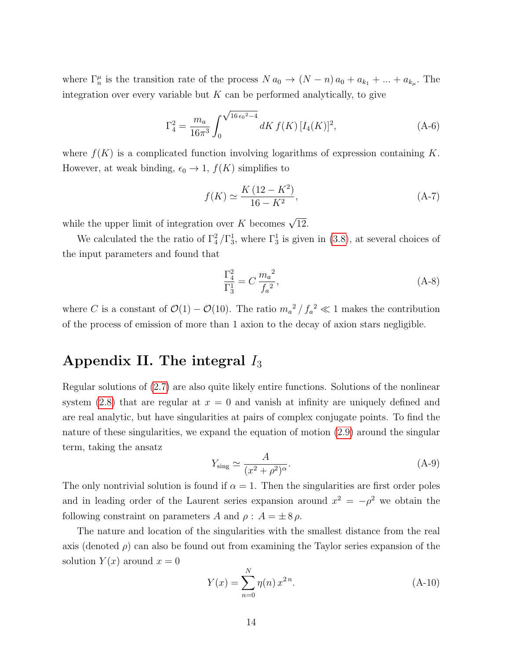where  $\Gamma_n^{\mu}$  is the transition rate of the process  $N a_0 \to (N - n) a_0 + a_{k_1} + ... + a_{k_{\mu}}$ . The integration over every variable but  $K$  can be performed analytically, to give

$$
\Gamma_4^2 = \frac{m_a}{16\pi^3} \int_0^{\sqrt{16\epsilon_0^2 - 4}} dK f(K) \left[ I_4(K) \right]^2, \tag{A-6}
$$

where  $f(K)$  is a complicated function involving logarithms of expression containing K. However, at weak binding,  $\epsilon_0 \to 1$ ,  $f(K)$  simplifies to

$$
f(K) \simeq \frac{K\,(12 - K^2)}{16 - K^2},\tag{A-7}
$$

while the upper limit of integration over K becomes  $\sqrt{12}$ .

We calculated the the ratio of  $\Gamma_4^2/\Gamma_3^1$ , where  $\Gamma_3^1$  is given in [\(3.8\)](#page-7-3), at several choices of the input parameters and found that

$$
\frac{\Gamma_4^2}{\Gamma_3^1} = C \frac{m_a^2}{f_a^2},\tag{A-8}
$$

where C is a constant of  $\mathcal{O}(1) - \mathcal{O}(10)$ . The ratio  $m_a^2/f_a^2 \ll 1$  makes the contribution of the process of emission of more than 1 axion to the decay of axion stars negligible.

# Appendix II. The integral  $I_3$

Regular solutions of [\(2.7\)](#page-3-2) are also quite likely entire functions. Solutions of the nonlinear system [\(2.8\)](#page-4-0) that are regular at  $x = 0$  and vanish at infinity are uniquely defined and are real analytic, but have singularities at pairs of complex conjugate points. To find the nature of these singularities, we expand the equation of motion [\(2.9\)](#page-4-1) around the singular term, taking the ansatz

<span id="page-14-0"></span>
$$
Y_{\text{sing}} \simeq \frac{A}{(x^2 + \rho^2)^{\alpha}}.\tag{A-9}
$$

The only nontrivial solution is found if  $\alpha = 1$ . Then the singularities are first order poles and in leading order of the Laurent series expansion around  $x^2 = -\rho^2$  we obtain the following constraint on parameters A and  $\rho : A = \pm 8 \rho$ .

The nature and location of the singularities with the smallest distance from the real axis (denoted  $\rho$ ) can also be found out from examining the Taylor series expansion of the solution  $Y(x)$  around  $x = 0$ 

$$
Y(x) = \sum_{n=0}^{N} \eta(n) x^{2n}.
$$
 (A-10)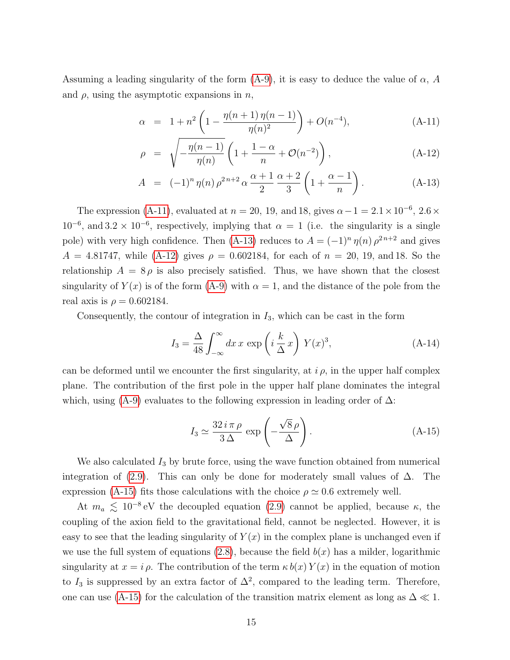Assuming a leading singularity of the form  $(A-9)$ , it is easy to deduce the value of  $\alpha$ , A and  $\rho$ , using the asymptotic expansions in n,

$$
\alpha = 1 + n^2 \left( 1 - \frac{\eta(n+1)\,\eta(n-1)}{\eta(n)^2} \right) + O(n^{-4}),\tag{A-11}
$$

<span id="page-15-0"></span>
$$
\rho = \sqrt{-\frac{\eta(n-1)}{\eta(n)}} \left( 1 + \frac{1-\alpha}{n} + \mathcal{O}(n^{-2}) \right), \tag{A-12}
$$

$$
A = (-1)^n \eta(n) \rho^{2n+2} \alpha \frac{\alpha+1}{2} \frac{\alpha+2}{3} \left( 1 + \frac{\alpha-1}{n} \right).
$$
 (A-13)

The expression [\(A-11\)](#page-15-0), evaluated at  $n = 20, 19, \text{ and } 18, \text{ gives } \alpha - 1 = 2.1 \times 10^{-6}, 2.6 \times$  $10^{-6}$ , and  $3.2 \times 10^{-6}$ , respectively, implying that  $\alpha = 1$  (i.e. the singularity is a single pole) with very high confidence. Then [\(A-13\)](#page-15-0) reduces to  $A = (-1)^n \eta(n) \rho^{2n+2}$  and gives  $A = 4.81747$ , while [\(A-12\)](#page-15-0) gives  $\rho = 0.602184$ , for each of  $n = 20, 19, \text{ and } 18$ . So the relationship  $A = 8 \rho$  is also precisely satisfied. Thus, we have shown that the closest singularity of  $Y(x)$  is of the form [\(A-9\)](#page-14-0) with  $\alpha = 1$ , and the distance of the pole from the real axis is  $\rho = 0.602184$ .

Consequently, the contour of integration in  $I_3$ , which can be cast in the form

$$
I_3 = \frac{\Delta}{48} \int_{-\infty}^{\infty} dx \, x \, \exp\left(i \frac{k}{\Delta} x\right) \, Y(x)^3,\tag{A-14}
$$

can be deformed until we encounter the first singularity, at  $i \rho$ , in the upper half complex plane. The contribution of the first pole in the upper half plane dominates the integral which, using [\(A-9\)](#page-14-0) evaluates to the following expression in leading order of  $\Delta$ :

<span id="page-15-1"></span>
$$
I_3 \simeq \frac{32 i \pi \rho}{3 \Delta} \exp\left(-\frac{\sqrt{8} \rho}{\Delta}\right). \tag{A-15}
$$

We also calculated  $I_3$  by brute force, using the wave function obtained from numerical integration of [\(2.9\)](#page-4-1). This can only be done for moderately small values of  $\Delta$ . The expression [\(A-15\)](#page-15-1) fits those calculations with the choice  $\rho \simeq 0.6$  extremely well.

At  $m_a \lesssim 10^{-8}$  eV the decoupled equation [\(2.9\)](#page-4-1) cannot be applied, because  $\kappa$ , the coupling of the axion field to the gravitational field, cannot be neglected. However, it is easy to see that the leading singularity of  $Y(x)$  in the complex plane is unchanged even if we use the full system of equations  $(2.8)$ , because the field  $b(x)$  has a milder, logarithmic singularity at  $x = i \rho$ . The contribution of the term  $\kappa b(x) Y(x)$  in the equation of motion to  $I_3$  is suppressed by an extra factor of  $\Delta^2$ , compared to the leading term. Therefore, one can use [\(A-15\)](#page-15-1) for the calculation of the transition matrix element as long as  $\Delta \ll 1$ .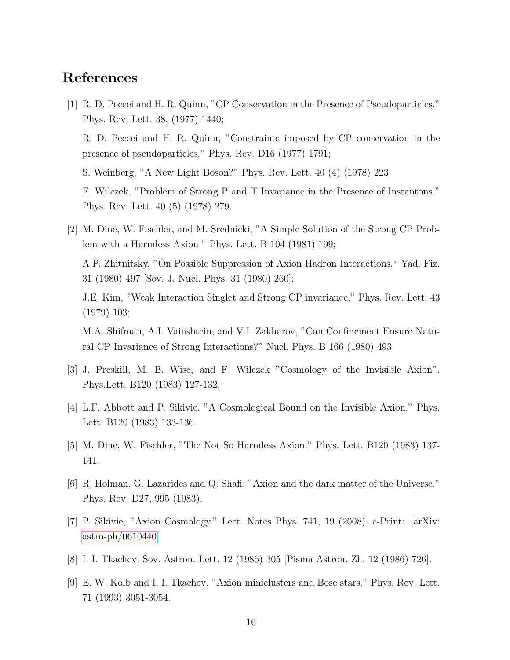### References

<span id="page-16-0"></span>[1] R. D. Peccei and H. R. Quinn, "CP Conservation in the Presence of Pseudoparticles." Phys. Rev. Lett. 38, (1977) 1440;

R. D. Peccei and H. R. Quinn, "Constraints imposed by CP conservation in the presence of pseudoparticles." Phys. Rev. D16 (1977) 1791;

S. Weinberg, "A New Light Boson?" Phys. Rev. Lett. 40 (4) (1978) 223;

F. Wilczek, "Problem of Strong P and T Invariance in the Presence of Instantons." Phys. Rev. Lett. 40 (5) (1978) 279.

<span id="page-16-1"></span>[2] M. Dine, W. Fischler, and M. Srednicki, "A Simple Solution of the Strong CP Problem with a Harmless Axion." Phys. Lett. B 104 (1981) 199;

A.P. Zhitnitsky, "On Possible Suppression of Axion Hadron Interactions." Yad. Fiz. 31 (1980) 497 [Sov. J. Nucl. Phys. 31 (1980) 260];

J.E. Kim, "Weak Interaction Singlet and Strong CP invariance." Phys. Rev. Lett. 43 (1979) 103;

M.A. Shifman, A.I. Vainshtein, and V.I. Zakharov, "Can Confinement Ensure Natural CP Invariance of Strong Interactions?" Nucl. Phys. B 166 (1980) 493.

- <span id="page-16-2"></span>[3] J. Preskill, M. B. Wise, and F. Wilczek "Cosmology of the Invisible Axion". Phys.Lett. B120 (1983) 127-132.
- <span id="page-16-3"></span>[4] L.F. Abbott and P. Sikivie, "A Cosmological Bound on the Invisible Axion." Phys. Lett. B120 (1983) 133-136.
- <span id="page-16-4"></span>[5] M. Dine, W. Fischler, "The Not So Harmless Axion." Phys. Lett. B120 (1983) 137- 141.
- <span id="page-16-5"></span>[6] R. Holman, G. Lazarides and Q. Shafi, "Axion and the dark matter of the Universe." Phys. Rev. D27, 995 (1983).
- <span id="page-16-6"></span>[7] P. Sikivie, "Axion Cosmology." Lect. Notes Phys. 741, 19 (2008). e-Print: [arXiv: [astro-ph/0610440\]](http://arxiv.org/abs/astro-ph/0610440)
- <span id="page-16-7"></span>[8] I. I. Tkachev, Sov. Astron. Lett. 12 (1986) 305 [Pisma Astron. Zh. 12 (1986) 726].
- <span id="page-16-8"></span>[9] E. W. Kolb and I. I. Tkachev, "Axion miniclusters and Bose stars." Phys. Rev. Lett. 71 (1993) 3051-3054.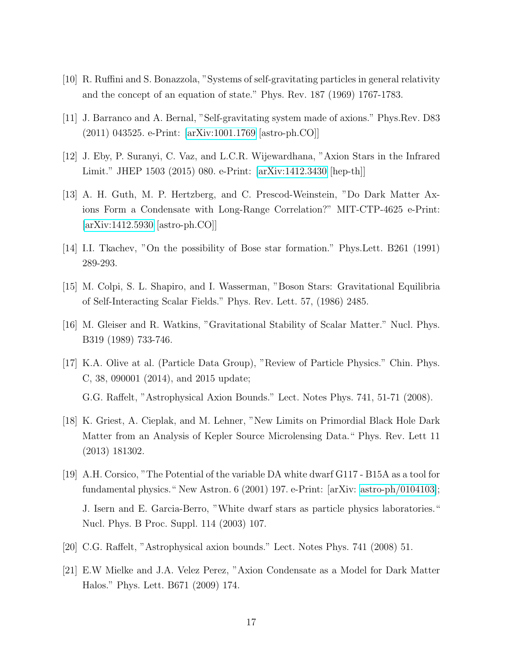- <span id="page-17-0"></span>[10] R. Ruffini and S. Bonazzola, "Systems of self-gravitating particles in general relativity and the concept of an equation of state." Phys. Rev. 187 (1969) 1767-1783.
- <span id="page-17-1"></span>[11] J. Barranco and A. Bernal, "Self-gravitating system made of axions." Phys.Rev. D83 (2011) 043525. e-Print: [\[arXiv:1001.1769](http://arxiv.org/abs/1001.1769) [astro-ph.CO]]
- <span id="page-17-2"></span>[12] J. Eby, P. Suranyi, C. Vaz, and L.C.R. Wijewardhana, "Axion Stars in the Infrared Limit." JHEP 1503 (2015) 080. e-Print: [\[arXiv:1412.3430](http://arxiv.org/abs/1412.3430) [hep-th]]
- <span id="page-17-3"></span>[13] A. H. Guth, M. P. Hertzberg, and C. Prescod-Weinstein, "Do Dark Matter Axions Form a Condensate with Long-Range Correlation?" MIT-CTP-4625 e-Print: [\[arXiv:1412.5930](http://arxiv.org/abs/1412.5930) [astro-ph.CO]]
- <span id="page-17-4"></span>[14] I.I. Tkachev, "On the possibility of Bose star formation." Phys.Lett. B261 (1991) 289-293.
- <span id="page-17-5"></span>[15] M. Colpi, S. L. Shapiro, and I. Wasserman, "Boson Stars: Gravitational Equilibria of Self-Interacting Scalar Fields." Phys. Rev. Lett. 57, (1986) 2485.
- <span id="page-17-7"></span>[16] M. Gleiser and R. Watkins, "Gravitational Stability of Scalar Matter." Nucl. Phys. B319 (1989) 733-746.
- <span id="page-17-6"></span>[17] K.A. Olive at al. (Particle Data Group), "Review of Particle Physics." Chin. Phys. C, 38, 090001 (2014), and 2015 update;

G.G. Raffelt, "Astrophysical Axion Bounds." Lect. Notes Phys. 741, 51-71 (2008).

- <span id="page-17-8"></span>[18] K. Griest, A. Cieplak, and M. Lehner, "New Limits on Primordial Black Hole Dark Matter from an Analysis of Kepler Source Microlensing Data." Phys. Rev. Lett 11 (2013) 181302.
- <span id="page-17-9"></span>[19] A.H. Corsico, "The Potential of the variable DA white dwarf G117 - B15A as a tool for fundamental physics." New Astron. 6 (2001) 197. e-Print: [arXiv: [astro-ph/0104103\]](http://arxiv.org/abs/astro-ph/0104103); J. Isern and E. Garcia-Berro, "White dwarf stars as particle physics laboratories." Nucl. Phys. B Proc. Suppl. 114 (2003) 107.
- <span id="page-17-10"></span>[20] C.G. Raffelt, "Astrophysical axion bounds." Lect. Notes Phys. 741 (2008) 51.
- <span id="page-17-11"></span>[21] E.W Mielke and J.A. Velez Perez, "Axion Condensate as a Model for Dark Matter Halos." Phys. Lett. B671 (2009) 174.